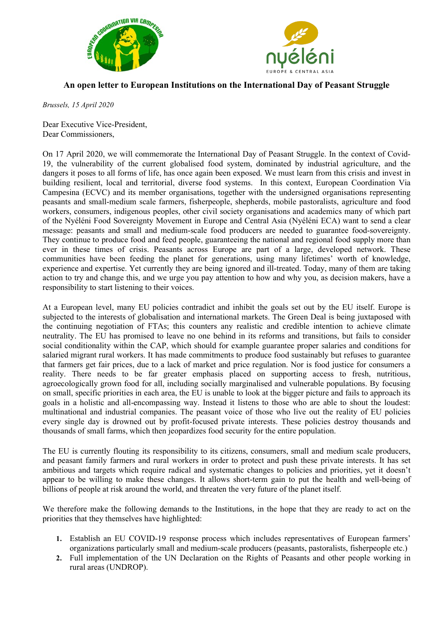



## An open letter to European Institutions on the International Day of Peasant Struggle

Brussels, 15 April 2020

Dear Executive Vice-President, Dear Commissioners,

On 17 April 2020, we will commemorate the International Day of Peasant Struggle. In the context of Covid-19, the vulnerability of the current globalised food system, dominated by industrial agriculture, and the dangers it poses to all forms of life, has once again been exposed. We must learn from this crisis and invest in building resilient, local and territorial, diverse food systems. In this context, European Coordination Via Campesina (ECVC) and its member organisations, together with the undersigned organisations representing peasants and small-medium scale farmers, fisherpeople, shepherds, mobile pastoralists, agriculture and food workers, consumers, indigenous peoples, other civil society organisations and academics many of which part of the Nyéléni Food Sovereignty Movement in Europe and Central Asia (Nyéléni ECA) want to send a clear message: peasants and small and medium-scale food producers are needed to guarantee food-sovereignty. They continue to produce food and feed people, guaranteeing the national and regional food supply more than ever in these times of crisis. Peasants across Europe are part of a large, developed network. These communities have been feeding the planet for generations, using many lifetimes' worth of knowledge, experience and expertise. Yet currently they are being ignored and ill-treated. Today, many of them are taking action to try and change this, and we urge you pay attention to how and why you, as decision makers, have a responsibility to start listening to their voices.

At a European level, many EU policies contradict and inhibit the goals set out by the EU itself. Europe is subjected to the interests of globalisation and international markets. The Green Deal is being juxtaposed with the continuing negotiation of FTAs; this counters any realistic and credible intention to achieve climate neutrality. The EU has promised to leave no one behind in its reforms and transitions, but fails to consider social conditionality within the CAP, which should for example guarantee proper salaries and conditions for salaried migrant rural workers. It has made commitments to produce food sustainably but refuses to guarantee that farmers get fair prices, due to a lack of market and price regulation. Nor is food justice for consumers a reality. There needs to be far greater emphasis placed on supporting access to fresh, nutritious, agroecologically grown food for all, including socially marginalised and vulnerable populations. By focusing on small, specific priorities in each area, the EU is unable to look at the bigger picture and fails to approach its goals in a holistic and all-encompassing way. Instead it listens to those who are able to shout the loudest: multinational and industrial companies. The peasant voice of those who live out the reality of EU policies every single day is drowned out by profit-focused private interests. These policies destroy thousands and thousands of small farms, which then jeopardizes food security for the entire population.

The EU is currently flouting its responsibility to its citizens, consumers, small and medium scale producers, and peasant family farmers and rural workers in order to protect and push these private interests. It has set ambitious and targets which require radical and systematic changes to policies and priorities, yet it doesn't appear to be willing to make these changes. It allows short-term gain to put the health and well-being of billions of people at risk around the world, and threaten the very future of the planet itself.

We therefore make the following demands to the Institutions, in the hope that they are ready to act on the priorities that they themselves have highlighted:

- 1. Establish an EU COVID-19 response process which includes representatives of European farmers' organizations particularly small and medium-scale producers (peasants, pastoralists, fisherpeople etc.)
- 2. Full implementation of the UN Declaration on the Rights of Peasants and other people working in rural areas (UNDROP).